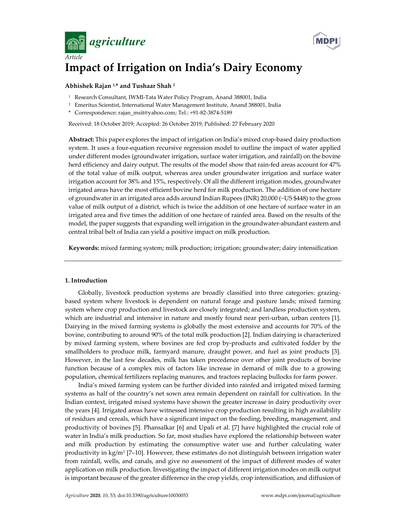



# **Impact of Irrigation on India's Dairy Economy**

# **Abhishek Rajan 1,\* and Tushaar Shah 2**

- <sup>1</sup> Research Consultant, IWMI-Tata Water Policy Program, Anand 388001, India
- 2 Emeritus Scientist, International Water Management Institute, Anand 388001, India
- \* Correspondence: rajan\_msit@yahoo.com; Tel.: +91-82-3874-5189

Received: 18 October 2019; Accepted: 26 October 2019; Published: 27 February 2020

**Abstract:** This paper explores the impact of irrigation on India's mixed crop-based dairy production system. It uses a four-equation recursive regression model to outline the impact of water applied under different modes (groundwater irrigation, surface water irrigation, and rainfall) on the bovine herd efficiency and dairy output. The results of the model show that rain-fed areas account for 47% of the total value of milk output, whereas area under groundwater irrigation and surface water irrigation account for 38% and 15%, respectively. Of all the different irrigation modes, groundwater irrigated areas have the most efficient bovine herd for milk production. The addition of one hectare of groundwater in an irrigated area adds around Indian Rupees (INR) 20,000 (~US \$448) to the gross value of milk output of a district, which is twice the addition of one hectare of surface water in an irrigated area and five times the addition of one hectare of rainfed area. Based on the results of the model, the paper suggests that expanding well irrigation in the groundwater-abundant eastern and central tribal belt of India can yield a positive impact on milk production.

**Keywords:** mixed farming system; milk production; irrigation; groundwater; dairy intensification

# **1. Introduction**

Globally, livestock production systems are broadly classified into three categories: grazingbased system where livestock is dependent on natural forage and pasture lands; mixed farming system where crop production and livestock are closely integrated; and landless production system, which are industrial and intensive in nature and mostly found near peri-urban, urban centers [1]. Dairying in the mixed farming systems is globally the most extensive and accounts for 70% of the bovine, contributing to around 90% of the total milk production [2]. Indian dairying is characterized by mixed farming system, where bovines are fed crop by-products and cultivated fodder by the smallholders to produce milk, farmyard manure, draught power, and fuel as joint products [3]. However, in the last few decades, milk has taken precedence over other joint products of bovine function because of a complex mix of factors like increase in demand of milk due to a growing population, chemical fertilizers replacing manures, and tractors replacing bullocks for farm power.

India's mixed farming system can be further divided into rainfed and irrigated mixed farming systems as half of the country's net sown area remain dependent on rainfall for cultivation. In the Indian context, irrigated mixed systems have shown the greater increase in dairy productivity over the years [4]. Irrigated areas have witnessed intensive crop production resulting in high availability of residues and cereals, which have a significant impact on the feeding, breeding, management, and productivity of bovines [5]. Phansalkar [6] and Upali et al. [7] have highlighted the crucial role of water in India's milk production. So far, most studies have explored the relationship between water and milk production by estimating the consumptive water use and further calculating water productivity in kg/m<sup>3</sup> [7–10]. However, these estimates do not distinguish between irrigation water from rainfall, wells, and canals, and give no assessment of the impact of different modes of water application on milk production. Investigating the impact of different irrigation modes on milk output is important because of the greater difference in the crop yields, crop intensification, and diffusion of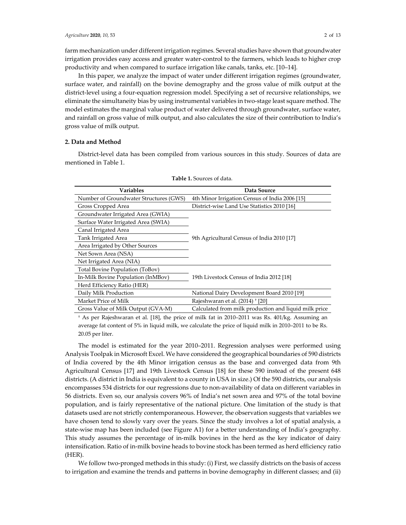farm mechanization under different irrigation regimes. Several studies have shown that groundwater irrigation provides easy access and greater water-control to the farmers, which leads to higher crop productivity and when compared to surface irrigation like canals, tanks, etc. [10–14].

In this paper, we analyze the impact of water under different irrigation regimes (groundwater, surface water, and rainfall) on the bovine demography and the gross value of milk output at the district-level using a four-equation regression model. Specifying a set of recursive relationships, we eliminate the simultaneity bias by using instrumental variables in two-stage least square method. The model estimates the marginal value product of water delivered through groundwater, surface water, and rainfall on gross value of milk output, and also calculates the size of their contribution to India's gross value of milk output.

# **2. Data and Method**

District-level data has been compiled from various sources in this study. Sources of data are mentioned in Table 1.

| Variables                              | Data Source                                           |
|----------------------------------------|-------------------------------------------------------|
| Number of Groundwater Structures (GWS) | 4th Minor Irrigation Census of India 2006 [15]        |
| Gross Cropped Area                     | District-wise Land Use Statistics 2010 [16]           |
| Groundwater Irrigated Area (GWIA)      |                                                       |
| Surface Water Irrigated Area (SWIA)    |                                                       |
| Canal Irrigated Area                   |                                                       |
| Tank Irrigated Area                    | 9th Agricultural Census of India 2010 [17]            |
| Area Irrigated by Other Sources        |                                                       |
| Net Sown Area (NSA)                    |                                                       |
| Net Irrigated Area (NIA)               |                                                       |
| Total Bovine Population (ToBov)        |                                                       |
| In-Milk Bovine Population (InMBov)     | 19th Livestock Census of India 2012 [18]              |
| Herd Efficiency Ratio (HER)            |                                                       |
| Daily Milk Production                  | National Dairy Development Board 2010 [19]            |
| Market Price of Milk                   | Rajeshwaran et al. (2014) <sup>+</sup> [20]           |
| Gross Value of Milk Output (GVA-M)     | Calculated from milk production and liquid milk price |

**Table 1.** Sources of data.

† As per Rajeshwaran et al. [18], the price of milk fat in 2010–2011 was Rs. 401/kg. Assuming an average fat content of 5% in liquid milk, we calculate the price of liquid milk in 2010–2011 to be Rs. 20.05 per liter.

The model is estimated for the year 2010–2011. Regression analyses were performed using Analysis Toolpak in Microsoft Excel. We have considered the geographical boundaries of 590 districts of India covered by the 4th Minor irrigation census as the base and converged data from 9th Agricultural Census [17] and 19th Livestock Census [18] for these 590 instead of the present 648 districts. (A district in India is equivalent to a county in USA in size.) Of the 590 districts, our analysis encompasses 534 districts for our regressions due to non-availability of data on different variables in 56 districts. Even so, our analysis covers 96% of India's net sown area and 97% of the total bovine population, and is fairly representative of the national picture. One limitation of the study is that datasets used are not strictly contemporaneous. However, the observation suggests that variables we have chosen tend to slowly vary over the years. Since the study involves a lot of spatial analysis, a state-wise map has been included (see Figure A1) for a better understanding of India's geography. This study assumes the percentage of in-milk bovines in the herd as the key indicator of dairy intensification. Ratio of in-milk bovine heads to bovine stock has been termed as herd efficiency ratio (HER).

We follow two-pronged methods in this study: (i) First, we classify districts on the basis of access to irrigation and examine the trends and patterns in bovine demography in different classes; and (ii)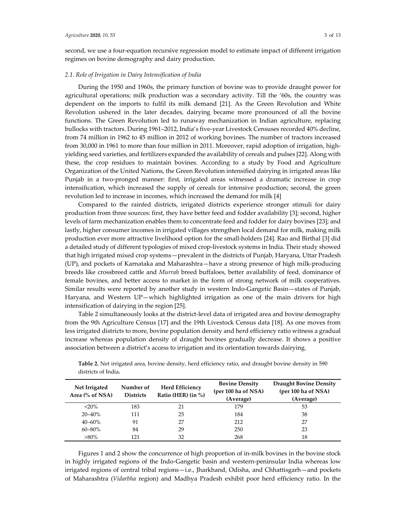second, we use a four-equation recursive regression model to estimate impact of different irrigation regimes on bovine demography and dairy production.

### *2.1. Role of Irrigation in Dairy Intensification of India*

During the 1950 and 1960s, the primary function of bovine was to provide draught power for agricultural operations; milk production was a secondary activity. Till the '60s, the country was dependent on the imports to fulfil its milk demand [21]. As the Green Revolution and White Revolution ushered in the later decades, dairying became more pronounced of all the bovine functions. The Green Revolution led to runaway mechanization in Indian agriculture, replacing bullocks with tractors. During 1961–2012, India's five-year Livestock Censuses recorded 40% decline, from 74 million in 1962 to 45 million in 2012 of working bovines. The number of tractors increased from 30,000 in 1961 to more than four million in 2011. Moreover, rapid adoption of irrigation, highyielding seed varieties, and fertilizers expanded the availability of cereals and pulses [22]. Along with these, the crop residues to maintain bovines. According to a study by Food and Agriculture Organization of the United Nations, the Green Revolution intensified dairying in irrigated areas like Punjab in a two-pronged manner: first, irrigated areas witnessed a dramatic increase in crop intensification, which increased the supply of cereals for intensive production; second, the green revolution led to increase in incomes, which increased the demand for milk [4]

Compared to the rainfed districts, irrigated districts experience stronger stimuli for dairy production from three sources: first, they have better feed and fodder availability [3]; second, higher levels of farm mechanization enables them to concentrate feed and fodder for dairy bovines [23]; and lastly, higher consumer incomes in irrigated villages strengthen local demand for milk, making milk production ever more attractive livelihood option for the small-holders [24]. Rao and Birthal [3] did a detailed study of different typologies of mixed crop-livestock systems in India. Their study showed that high irrigated mixed crop systems—prevalent in the districts of Punjab, Haryana, Uttar Pradesh (UP), and pockets of Karnataka and Maharashtra—have a strong presence of high milk-producing breeds like crossbreed cattle and *Murrah* breed buffaloes, better availability of feed, dominance of female bovines, and better access to market in the form of strong network of milk cooperatives. Similar results were reported by another study in western Indo-Gangetic Basin—states of Punjab, Haryana, and Western UP—which highlighted irrigation as one of the main drivers for high intensification of dairying in the region [25].

Table 2 simultaneously looks at the district-level data of irrigated area and bovine demography from the 9th Agriculture Census [17] and the 19th Livestock Census data [18]. As one moves from less irrigated districts to more, bovine population density and herd efficiency ratio witness a gradual increase whereas population density of draught bovines gradually decrease. It shows a positive association between a district's access to irrigation and its orientation towards dairying.

| Net Irrigated<br>Area (% of NSA) | Number of<br><b>Districts</b> | <b>Herd Efficiency</b><br>Ratio (HER) (in $\%$ ) | <b>Bovine Density</b><br>(per 100 ha of NSA)<br>(Average) | <b>Draught Bovine Density</b><br>(per 100 ha of NSA)<br>(Average) |
|----------------------------------|-------------------------------|--------------------------------------------------|-----------------------------------------------------------|-------------------------------------------------------------------|
| $<$ 20%                          | 183                           | 21                                               | 179                                                       | 53                                                                |
| $20 - 40\%$                      | 111                           | 25                                               | 184                                                       | 38                                                                |
| $40 - 60\%$                      | 91                            | 27                                               | 212                                                       | 27                                                                |
| $60 - 80\%$                      | 84                            | 29                                               | 250                                                       | 23                                                                |
| $>80\%$                          | 121                           | 32                                               | 268                                                       | 18                                                                |

**Table 2.** Net irrigated area, bovine density, herd efficiency ratio, and draught bovine density in 590 districts of India**.**

Figures 1 and 2 show the concurrence of high proportion of in-milk bovines in the bovine stock in highly irrigated regions of the Indo-Gangetic basin and western-peninsular India whereas low irrigated regions of central tribal regions—i.e., Jharkhand, Odisha, and Chhattisgarh—and pockets of Maharashtra (*Vidarbha* region) and Madhya Pradesh exhibit poor herd efficiency ratio. In the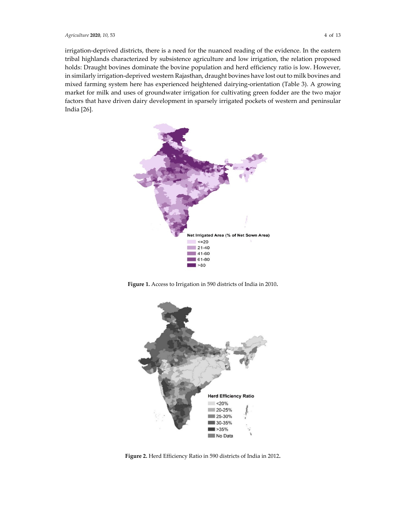irrigation-deprived districts, there is a need for the nuanced reading of the evidence. In the eastern tribal highlands characterized by subsistence agriculture and low irrigation, the relation proposed holds: Draught bovines dominate the bovine population and herd efficiency ratio is low. However, in similarly irrigation-deprived western Rajasthan, draught bovines have lost out to milk bovines and mixed farming system here has experienced heightened dairying-orientation (Table 3). A growing market for milk and uses of groundwater irrigation for cultivating green fodder are the two major factors that have driven dairy development in sparsely irrigated pockets of western and peninsular India [26].



**Figure 1.** Access to Irrigation in 590 districts of India in 2010**.** 



**Figure 2.** Herd Efficiency Ratio in 590 districts of India in 2012**.**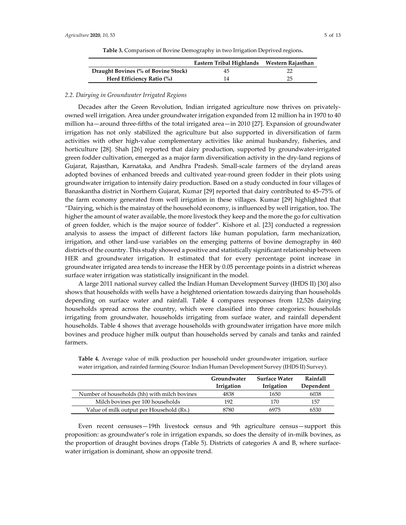|                                     | Eastern Tribal Highlands Western Rajasthan |    |
|-------------------------------------|--------------------------------------------|----|
| Draught Bovines (% of Bovine Stock) | 45                                         |    |
| Herd Efficiency Ratio (%)           | 14                                         | 25 |

**Table 3.** Comparison of Bovine Demography in two Irrigation Deprived regions**.** 

## *2.2. Dairying in Groundwater Irrigated Regions*

Decades after the Green Revolution, Indian irrigated agriculture now thrives on privatelyowned well irrigation. Area under groundwater irrigation expanded from 12 million ha in 1970 to 40 million ha—around three-fifths of the total irrigated area—in 2010 [27]. Expansion of groundwater irrigation has not only stabilized the agriculture but also supported in diversification of farm activities with other high-value complementary activities like animal husbandry, fisheries, and horticulture [28]. Shah [26] reported that dairy production, supported by groundwater-irrigated green fodder cultivation, emerged as a major farm diversification activity in the dry-land regions of Gujarat, Rajasthan, Karnataka, and Andhra Pradesh. Small-scale farmers of the dryland areas adopted bovines of enhanced breeds and cultivated year-round green fodder in their plots using groundwater irrigation to intensify dairy production. Based on a study conducted in four villages of Banaskantha district in Northern Gujarat, Kumar [29] reported that dairy contributed to 45–75% of the farm economy generated from well irrigation in these villages. Kumar [29] highlighted that "Dairying, which is the mainstay of the household economy, is influenced by well irrigation, too. The higher the amount of water available, the more livestock they keep and the more the go for cultivation of green fodder, which is the major source of fodder". Kishore et al. [23] conducted a regression analysis to assess the impact of different factors like human population, farm mechanization, irrigation, and other land-use variables on the emerging patterns of bovine demography in 460 districts of the country. This study showed a positive and statistically significant relationship between HER and groundwater irrigation. It estimated that for every percentage point increase in groundwater irrigated area tends to increase the HER by 0.05 percentage points in a district whereas surface water irrigation was statistically insignificant in the model.

A large 2011 national survey called the Indian Human Development Survey (IHDS II) [30] also shows that households with wells have a heightened orientation towards dairying than households depending on surface water and rainfall. Table 4 compares responses from 12,526 dairying households spread across the country, which were classified into three categories: households irrigating from groundwater, households irrigating from surface water, and rainfall dependent households. Table 4 shows that average households with groundwater irrigation have more milch bovines and produce higher milk output than households served by canals and tanks and rainfed farmers.

|                                              | Groundwater<br>Irrigation | <b>Surface Water</b><br>Irrigation | Rainfall<br>Dependent |
|----------------------------------------------|---------------------------|------------------------------------|-----------------------|
| Number of households (hh) with milch boyines | 4838                      | 1650                               | 6038                  |
| Milch bovines per 100 households             | 192                       | 170                                | 157                   |
| Value of milk output per Household (Rs.)     | 8780                      | 6975                               | 6530                  |

**Table 4.** Average value of milk production per household under groundwater irrigation, surface water irrigation, and rainfed farming (Source: Indian Human Development Survey (IHDS II) Survey).

Even recent censuses—19th livestock census and 9th agriculture census—support this proposition: as groundwater's role in irrigation expands, so does the density of in-milk bovines, as the proportion of draught bovines drops (Table 5). Districts of categories A and B, where surfacewater irrigation is dominant, show an opposite trend.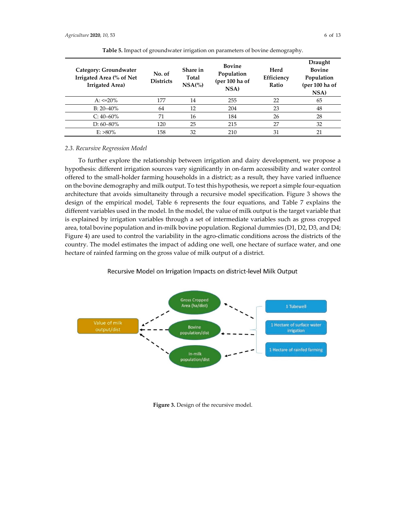| Category: Groundwater<br>Irrigated Area (% of Net<br><b>Irrigated Area)</b> | No. of<br><b>Districts</b> | Share in<br>Total<br>$NSA$ (%) | <b>Bovine</b><br>Population<br>(per 100 ha of<br>NSA) | Herd<br>Efficiency<br>Ratio | Draught<br><b>Bovine</b><br>Population<br>(per 100 ha of<br>NSA) |
|-----------------------------------------------------------------------------|----------------------------|--------------------------------|-------------------------------------------------------|-----------------------------|------------------------------------------------------------------|
| $A: \le 20\%$                                                               | 177                        | 14                             | 255                                                   | 22                          | 65                                                               |
| $B: 20 - 40\%$                                                              | 64                         | 12                             | 204                                                   | 23                          | 48                                                               |
| $C: 40-60\%$                                                                | 71                         | 16                             | 184                                                   | 26                          | 28                                                               |
| $D: 60 - 80\%$                                                              | 120                        | 25                             | 215                                                   | 27                          | 32                                                               |
| $E: >80\%$                                                                  | 158                        | 32                             | 210                                                   | 31                          | 21                                                               |

**Table 5.** Impact of groundwater irrigation on parameters of bovine demography.

## *2.3. Recursive Regression Model*

To further explore the relationship between irrigation and dairy development, we propose a hypothesis: different irrigation sources vary significantly in on-farm accessibility and water control offered to the small-holder farming households in a district; as a result, they have varied influence on the bovine demography and milk output. To test this hypothesis, we report a simple four-equation architecture that avoids simultaneity through a recursive model specification. Figure 3 shows the design of the empirical model, Table 6 represents the four equations, and Table 7 explains the different variables used in the model. In the model, the value of milk output is the target variable that is explained by irrigation variables through a set of intermediate variables such as gross cropped area, total bovine population and in-milk bovine population. Regional dummies (D1, D2, D3, and D4; Figure 4) are used to control the variability in the agro-climatic conditions across the districts of the country. The model estimates the impact of adding one well, one hectare of surface water, and one hectare of rainfed farming on the gross value of milk output of a district.

### Recursive Model on Irrigation Impacts on district-level Milk Output



**Figure 3.** Design of the recursive model.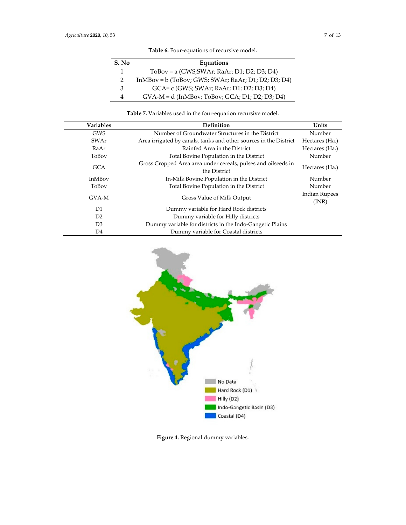| S. No | Equations                                             |
|-------|-------------------------------------------------------|
| 1     | $ToBox = a (GWS;SWAr; RaAr; D1; D2; D3; D4)$          |
| 2     | $InMBox = b$ (ToBov; GWS; SWAr; RaAr; D1; D2; D3; D4) |
| З     | GCA= c (GWS; SWAr; RaAr; D1; D2; D3; D4)              |
| 4     | $GVA-M = d$ (InMBov; ToBov; $GCA$ ; D1; D2; D3; D4)   |

# **Table 6.** Four-equations of recursive model.

# **Table 7.** Variables used in the four-equation recursive model.

| <b>Variables</b> | Definition                                                                    | Units                         |
|------------------|-------------------------------------------------------------------------------|-------------------------------|
| <b>GWS</b>       | Number of Groundwater Structures in the District                              | Number                        |
| SWAr             | Area irrigated by canals, tanks and other sources in the District             | Hectares (Ha.)                |
| RaAr             | Rainfed Area in the District                                                  | Hectares (Ha.)                |
| ToBoy            | Total Bovine Population in the District                                       | Number                        |
| <b>GCA</b>       | Gross Cropped Area area under cereals, pulses and oilseeds in<br>the District | Hectares (Ha.)                |
| <b>InMBoy</b>    | In-Milk Bovine Population in the District                                     | Number                        |
| ToBoy            | Total Bovine Population in the District                                       | Number                        |
| GVA-M            | Gross Value of Milk Output                                                    | <b>Indian Rupees</b><br>(INR) |
| D1               | Dummy variable for Hard Rock districts                                        |                               |
| D <sub>2</sub>   | Dummy variable for Hilly districts                                            |                               |
| D <sub>3</sub>   | Dummy variable for districts in the Indo-Gangetic Plains                      |                               |
| D4               | Dummy variable for Coastal districts                                          |                               |



**Figure 4.** Regional dummy variables.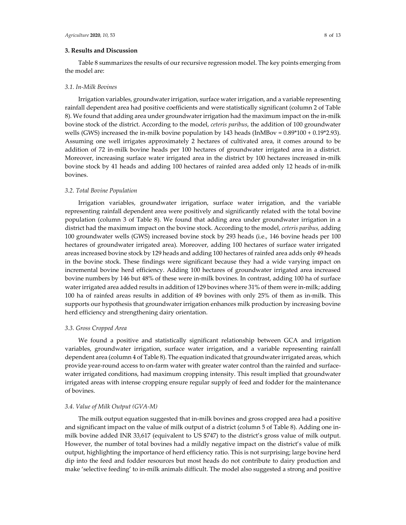# **3. Results and Discussion**

Table 8 summarizes the results of our recursive regression model. The key points emerging from the model are:

### *3.1. In-Milk Bovines*

Irrigation variables, groundwater irrigation, surface water irrigation, and a variable representing rainfall dependent area had positive coefficients and were statistically significant (column 2 of Table 8). We found that adding area under groundwater irrigation had the maximum impact on the in-milk bovine stock of the district. According to the model, *ceteris paribus*, the addition of 100 groundwater wells (GWS) increased the in-milk bovine population by 143 heads (InMBov =  $0.89*100 + 0.19*2.93$ ). Assuming one well irrigates approximately 2 hectares of cultivated area, it comes around to be addition of 72 in-milk bovine heads per 100 hectares of groundwater irrigated area in a district. Moreover, increasing surface water irrigated area in the district by 100 hectares increased in-milk bovine stock by 41 heads and adding 100 hectares of rainfed area added only 12 heads of in-milk bovines.

### *3.2. Total Bovine Population*

Irrigation variables, groundwater irrigation, surface water irrigation, and the variable representing rainfall dependent area were positively and significantly related with the total bovine population (column 3 of Table 8). We found that adding area under groundwater irrigation in a district had the maximum impact on the bovine stock. According to the model, *ceteris paribus,* adding 100 groundwater wells (GWS) increased bovine stock by 293 heads (i.e., 146 bovine heads per 100 hectares of groundwater irrigated area). Moreover, adding 100 hectares of surface water irrigated areas increased bovine stock by 129 heads and adding 100 hectares of rainfed area adds only 49 heads in the bovine stock. These findings were significant because they had a wide varying impact on incremental bovine herd efficiency. Adding 100 hectares of groundwater irrigated area increased bovine numbers by 146 but 48% of these were in-milk bovines. In contrast, adding 100 ha of surface water irrigated area added results in addition of 129 bovines where 31% of them were in-milk; adding 100 ha of rainfed areas results in addition of 49 bovines with only 25% of them as in-milk. This supports our hypothesis that groundwater irrigation enhances milk production by increasing bovine herd efficiency and strengthening dairy orientation.

### *3.3. Gross Cropped Area*

We found a positive and statistically significant relationship between GCA and irrigation variables, groundwater irrigation, surface water irrigation, and a variable representing rainfall dependent area (column 4 of Table 8). The equation indicated that groundwater irrigated areas, which provide year-round access to on-farm water with greater water control than the rainfed and surfacewater irrigated conditions, had maximum cropping intensity. This result implied that groundwater irrigated areas with intense cropping ensure regular supply of feed and fodder for the maintenance of bovines.

### *3.4. Value of Milk Output (GVA-M)*

The milk output equation suggested that in-milk bovines and gross cropped area had a positive and significant impact on the value of milk output of a district (column 5 of Table 8). Adding one inmilk bovine added INR 33,617 (equivalent to US \$747) to the district's gross value of milk output. However, the number of total bovines had a mildly negative impact on the district's value of milk output, highlighting the importance of herd efficiency ratio. This is not surprising; large bovine herd dip into the feed and fodder resources but most heads do not contribute to dairy production and make 'selective feeding' to in-milk animals difficult. The model also suggested a strong and positive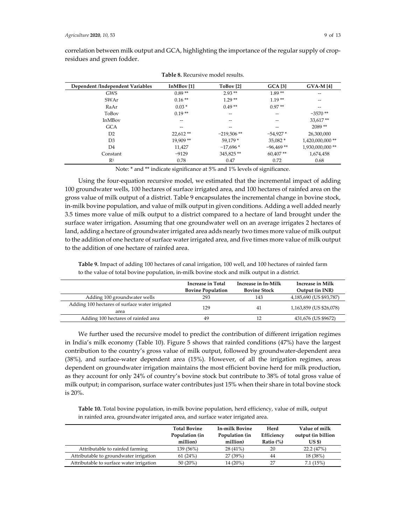| correlation between milk output and GCA, highlighting the importance of the regular supply of crop- |  |
|-----------------------------------------------------------------------------------------------------|--|
| residues and green fodder.                                                                          |  |

| Dependent /Independent Variables | InMBoy [1] | ToBov <sup>[2]</sup> | <b>GCA</b> [3]                        | $GVA-M[4]$      |
|----------------------------------|------------|----------------------|---------------------------------------|-----------------|
| <b>GWS</b>                       | $0.89**$   | $2.93**$             | $1.89**$                              | --              |
| SWAr                             | $0.16**$   | $1.29**$             | $1.19**$                              | --              |
| RaAr                             | $0.03*$    | $0.49**$             | $0.97**$                              | --              |
| ToBoy                            | $0.19**$   | --                   | $-$                                   | $-3570$ **      |
| <b>InMBoy</b>                    | --         | --                   | $\hspace{0.05cm}$ – $\hspace{0.05cm}$ | 33,617**        |
| <b>GCA</b>                       | --         | --                   | $-$                                   | $2089**$        |
| D2                               | $22.612**$ | $-219,506$ **        | $-54,927*$                            | 26,300,000      |
| D <sub>3</sub>                   | $19,909**$ | 59.179 *             | 35.082 *                              | 1,420,000,000** |
| D4                               | 11.427     | $-17.696*$           | $-96.469**$                           | 1,930,000,000** |
| Constant                         | $-9129$    | 345,825**            | $60,407**$                            | 1,674,458       |
| $R^2$                            | 0.78       | 0.47                 | 0.72                                  | 0.68            |

**Table 8.** Recursive model results.

Note: \* and \*\* indicate significance at 5% and 1% levels of significance.

Using the four-equation recursive model, we estimated that the incremental impact of adding 100 groundwater wells, 100 hectares of surface irrigated area, and 100 hectares of rainfed area on the gross value of milk output of a district. Table 9 encapsulates the incremental change in bovine stock, in-milk bovine population, and value of milk output in given conditions. Adding a well added nearly 3.5 times more value of milk output to a district compared to a hectare of land brought under the surface water irrigation. Assuming that one groundwater well on an average irrigates 2 hectares of land, adding a hectare of groundwater irrigated area adds nearly two times more value of milk output to the addition of one hectare of surface water irrigated area, and five times more value of milk output to the addition of one hectare of rainfed area.

|                                                        | <b>Increase in Total</b><br><b>Bovine Population</b> | Increase in In-Milk<br><b>Bovine Stock</b> | Increase in Milk<br>Output (in INR) |
|--------------------------------------------------------|------------------------------------------------------|--------------------------------------------|-------------------------------------|
| Adding 100 groundwater wells                           | 293                                                  | 143                                        | 4,185,690 (US \$93,787)             |
| Adding 100 hectares of surface water irrigated<br>area | 129                                                  | 41                                         | 1,163,859 (US \$26,078)             |
| Adding 100 hectares of rainfed area                    | 49                                                   | 12                                         | 431,676 (US \$9672)                 |

**Table 9.** Impact of adding 100 hectares of canal irrigation, 100 well, and 100 hectares of rainfed farm to the value of total bovine population, in-milk bovine stock and milk output in a district.

We further used the recursive model to predict the contribution of different irrigation regimes in India's milk economy (Table 10). Figure 5 shows that rainfed conditions (47%) have the largest contribution to the country's gross value of milk output, followed by groundwater-dependent area (38%), and surface-water dependent area (15%). However, of all the irrigation regimes, areas dependent on groundwater irrigation maintains the most efficient bovine herd for milk production, as they account for only 24% of country's bovine stock but contribute to 38% of total gross value of milk output; in comparison, surface water contributes just 15% when their share in total bovine stock is 20%.

**Table 10.** Total bovine population, in-milk bovine population, herd efficiency, value of milk, output in rainfed area, groundwater irrigated area, and surface water irrigated area.

|                                          | <b>Total Bovine</b><br>Population (in<br>million) | <b>In-milk Bovine</b><br>Population (in<br>million) | Herd<br>Efficiency<br>Ratio $(\%)$ | Value of milk<br>output (in billion<br>US \$) |
|------------------------------------------|---------------------------------------------------|-----------------------------------------------------|------------------------------------|-----------------------------------------------|
| Attributable to rainfed farming          | 139 (56%)                                         | $28(41\%)$                                          | 20                                 | 22.2(47%)                                     |
| Attributable to groundwater irrigation   | 61(24%)                                           | 27 (39%)                                            | 44                                 | 18 (38%)                                      |
| Attributable to surface water irrigation | $50(20\%)$                                        | 14 (20%)                                            | 27                                 | 7.1(15%)                                      |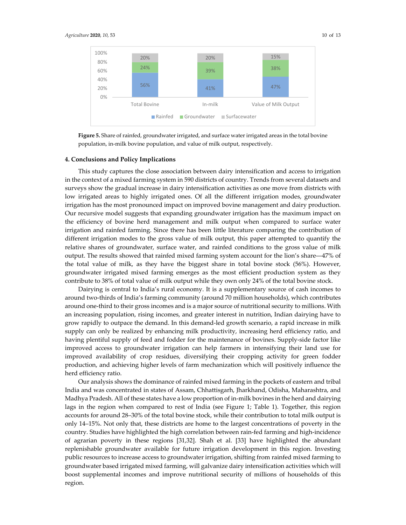

**Figure 5.** Share of rainfed, groundwater irrigated, and surface water irrigated areas in the total bovine population, in-milk bovine population, and value of milk output, respectively.

### **4. Conclusions and Policy Implications**

This study captures the close association between dairy intensification and access to irrigation in the context of a mixed farming system in 590 districts of country. Trends from several datasets and surveys show the gradual increase in dairy intensification activities as one move from districts with low irrigated areas to highly irrigated ones. Of all the different irrigation modes, groundwater irrigation has the most pronounced impact on improved bovine management and dairy production. Our recursive model suggests that expanding groundwater irrigation has the maximum impact on the efficiency of bovine herd management and milk output when compared to surface water irrigation and rainfed farming. Since there has been little literature comparing the contribution of different irrigation modes to the gross value of milk output, this paper attempted to quantify the relative shares of groundwater, surface water, and rainfed conditions to the gross value of milk output. The results showed that rainfed mixed farming system account for the lion's share―47% of the total value of milk, as they have the biggest share in total bovine stock (56%). However, groundwater irrigated mixed farming emerges as the most efficient production system as they contribute to 38% of total value of milk output while they own only 24% of the total bovine stock.

Dairying is central to India's rural economy. It is a supplementary source of cash incomes to around two-thirds of India's farming community (around 70 million households), which contributes around one-third to their gross incomes and is a major source of nutritional security to millions. With an increasing population, rising incomes, and greater interest in nutrition, Indian dairying have to grow rapidly to outpace the demand. In this demand-led growth scenario, a rapid increase in milk supply can only be realized by enhancing milk productivity, increasing herd efficiency ratio, and having plentiful supply of feed and fodder for the maintenance of bovines. Supply-side factor like improved access to groundwater irrigation can help farmers in intensifying their land use for improved availability of crop residues, diversifying their cropping activity for green fodder production, and achieving higher levels of farm mechanization which will positively influence the herd efficiency ratio.

Our analysis shows the dominance of rainfed mixed farming in the pockets of eastern and tribal India and was concentrated in states of Assam, Chhattisgarh, Jharkhand, Odisha, Maharashtra, and Madhya Pradesh. All of these states have a low proportion of in-milk bovines in the herd and dairying lags in the region when compared to rest of India (see Figure 1; Table 1). Together, this region accounts for around 28–30% of the total bovine stock, while their contribution to total milk output is only 14–15%. Not only that, these districts are home to the largest concentrations of poverty in the country. Studies have highlighted the high correlation between rain-fed farming and high-incidence of agrarian poverty in these regions [31,32]. Shah et al. [33] have highlighted the abundant replenishable groundwater available for future irrigation development in this region. Investing public resources to increase access to groundwater irrigation, shifting from rainfed mixed farming to groundwater based irrigated mixed farming, will galvanize dairy intensification activities which will boost supplemental incomes and improve nutritional security of millions of households of this region.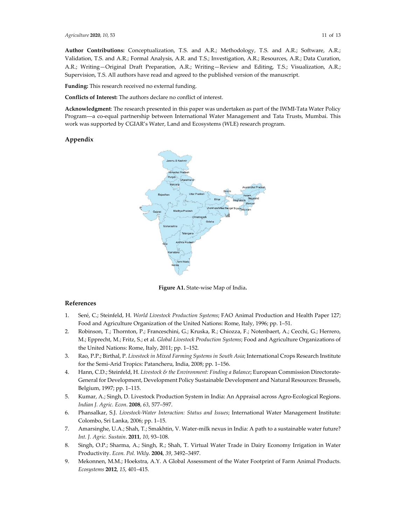**Author Contributions:** Conceptualization, T.S. and A.R.; Methodology, T.S. and A.R.; Software, A.R.; Validation, T.S. and A.R.; Formal Analysis, A.R. and T.S.; Investigation, A.R.; Resources, A.R.; Data Curation, A.R.; Writing—Original Draft Preparation, A.R.; Writing—Review and Editing, T.S.; Visualization, A.R.; Supervision, T.S. All authors have read and agreed to the published version of the manuscript.

**Funding:** This research received no external funding.

**Conflicts of Interest:** The authors declare no conflict of interest.

**Acknowledgment**: The research presented in this paper was undertaken as part of the IWMI-Tata Water Policy Program―a co-equal partnership between International Water Management and Tata Trusts, Mumbai. This work was supported by CGIAR's Water, Land and Ecosystems (WLE) research program.

#### **Appendix**



**Figure A1.** State-wise Map of India**.** 

# **References**

- 1. Seré, C.; Steinfeld, H. *World Livestock Production Systems*; FAO Animal Production and Health Paper 127; Food and Agriculture Organization of the United Nations: Rome, Italy, 1996; pp. 1–51.
- 2. Robinson, T.; Thornton, P.; Franceschini, G.; Kruska, R.; Chiozza, F.; Notenbaert, A.; Cecchi, G.; Herrero, M.; Epprecht, M.; Fritz, S.; et al. *Global Livestock Production Systems*; Food and Agriculture Organizations of the United Nations: Rome, Italy, 2011; pp. 1–152.
- 3. Rao, P.P.; Birthal, P. *Livestock in Mixed Farming Systems in South Asia*; International Crops Research Institute for the Semi-Arid Tropics: Patancheru, India, 2008; pp. 1–156.
- 4. Hann, C.D.; Steinfeld, H. *Livestock & the Environment: Finding a Balance*; European Commission Directorate-General for Development, Development Policy Sustainable Development and Natural Resources: Brussels, Belgium, 1997; pp. 1–115.
- 5. Kumar, A.; Singh, D. Livestock Production System in India: An Appraisal across Agro-Ecological Regions. *Indian J. Agric. Econ*. **2008**, *63*, 577–597.
- 6. Phansalkar, S.J. *Livestock-Water Interaction: Status and Issues*; International Water Management Institute: Colombo, Sri Lanka, 2006; pp. 1–15.
- 7. Amarsinghe, U.A.; Shah, T.; Smakhtin, V. Water-milk nexus in India: A path to a sustainable water future? *Int. J. Agric. Sustain*. **2011**, *10*, 93–108.
- 8. Singh, O.P.; Sharma, A.; Singh, R.; Shah, T. Virtual Water Trade in Dairy Economy Irrigation in Water Productivity. *Econ. Pol. Wkly*. **2004**, *39*, 3492–3497.
- 9. Mekonnen, M.M.; Hoekstra, A.Y. A Global Assessment of the Water Footprint of Farm Animal Products. *Ecosystems* **2012**, *15*, 401–415.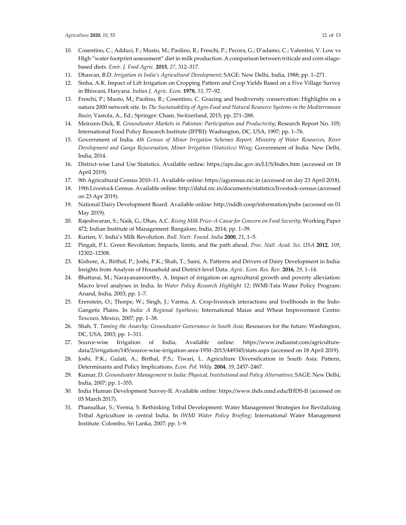- 10. Cosentino, C.; Adduci, F.; Musto, M.; Paolino, R.; Freschi, P.; Pecora, G.; D'adamo, C.; Valentini, V. Low vs High "water footprint assessment" diet in milk production. A comparison between triticale and corn silagebased diets. *Emir. J. Food Agric*. **2015**, *27*, 312–317.
- 11. Dhawan, B.D. *Irrigation in India's Agricultural Development*; SAGE: New Delhi, India, 1988; pp. 1–271.
- 12. Sinha, A.K. Impact of Lift Irrigation on Cropping Pattern and Crop Yields Based on a Five Village Survey in Bhiwani, Haryana. *Indian J. Agric. Econ.* **1978**, *33*, 77–92.
- 13. Freschi, P.; Musto, M.; Paolino, R.; Cosentino, C. Grazing and biodiversity conservation: Highlights on a natura 2000 network site. In *The Sustainability of Agro-Food and Natural Resource Systems in the Mediterranean Basin*; Vastola, A., Ed.; Springer: Cham, Switzerland, 2015; pp. 271–288.
- 14. Meinzen-Dick, R. *Groundwater Markets in Pakistan: Participation and Productivity*; Research Report No. 105; International Food Policy Research Institute (IFPRI): Washington, DC, USA, 1997; pp. 1–76.
- 15. Government of India. *4th Census of Minor Irrigation Schemes Report; Ministry of Water Resources, River Development and Ganga Rejuvenation, Minor Irrigation (Statistics) Wing*; Government of India: New Delhi, India, 2014.
- 16. District-wise Land Use Statistics. Available online: https://aps.dac.gov.in/LUS/Index.htm (accessed on 18 April 2019).
- 17. 9th Agricultural Census 2010–11. Available online: https://agcensus.nic.in (accessed on day 23 April 2018).
- 18. 19th Livestock Census. Available online: http://dahd.nic.in/documents/statistics/livestock-census (accessed on 23 Apr 2019).
- 19. National Dairy Development Board. Available online: http://nddb.coop/information/pubs (accessed on 01 May 2019).
- 20. Rajeshwaran, S.; Naik, G.; Dhas, A.C. *Rising Milk Price–A Cause for Concern on Food Security*; Working Paper 472; Indian Institute of Management: Bangalore, India, 2014; pp. 1–39.
- 21. Kurien, V. India's Milk Revolution. *Bull. Nutr. Found. India* **2000**, *21*, 1–5.
- 22. Pingali, P.L. Green Revolution: Impacts, limits, and the path ahead. *Proc. Natl. Acad. Sci. USA* **2012**, *109*, 12302–12308.
- 23. Kishore, A.; Birthal, P.; Joshi, P.K.; Shah, T.; Saini, A. Patterns and Drivers of Dairy Development in India: Insights from Analysis of Household and District-level Data. *Agric. Econ. Res. Rev.* **2016**, *29*, 1–14.
- 24. Bhattarai, M.; Narayanamoorthy, A. Impact of irrigation on agricultural growth and poverty alleviation: Macro level analyses in India. In *Water Policy Research Highlight 12*; IWMI-Tata Water Policy Program: Anand, India, 2003; pp. 1–7.
- 25. Erenstein, O.; Thorpe, W.; Singh, J.; Varma, A. Crop-livestock interactions and livelihoods in the Indo-Gangetic Plains. In *India: A Regional Synthesis*; International Maize and Wheat Improvement Centre: Texcoco, Mexico, 2007; pp. 1–38.
- 26. Shah, T. *Taming the Anarchy: Groundwater Governance in South Asia*; Resources for the future: Washington, DC, USA, 2003; pp. 1–311.
- 27. Source-wise Irrigation of India, Available online: https://www.indiastat.com/agriculturedata/2/irrigation/145/source-wise-irrigation-area-1950–2015/449345/stats.aspx (accessed on 18 April 2019).
- 28. Joshi, P.K.; Gulati, A.; Birthal, P.S.; Tiwari, L. Agriculture Diversification in South Asia: Pattern, Determinants and Policy Implications. *Econ. Pol. Wkly.* **2004**, *39*, 2457–2467.
- 29. Kumar, D. *Groundwater Management in India: Physical, Institutional and Policy Alternatives*; SAGE: New Delhi, India, 2007; pp. 1–355.
- 30. India Human Development Survey-II. Available online*:* https://www.ihds.umd.edu/IHDS-II (accessed on 03 March 2017).
- 31. Phansalkar, S.; Verma, S. Rethinking Tribal Development: Water Management Strategies for Revitalizing Tribal Agriculture in central India. In *IWMI Water Policy Briefing*; International Water Management Institute: Colombo, Sri Lanka, 2007; pp. 1–9.